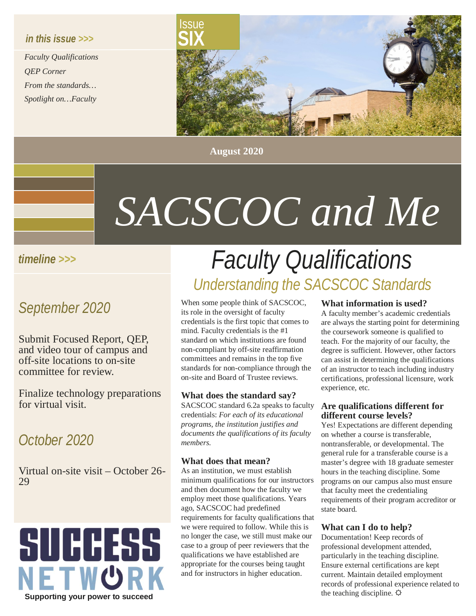## *in this issue >>>*

*Faculty Qualifications QEP Corner From the standards… Spotlight on…Faculty*



**August 2020**

# *SACSCOC and Me*

## *timeline >>>*

## *September 2020*

Submit Focused Report, QEP, and video tour of campus and off-site locations to on-site committee for review.

Finalize technology preparations for virtual visit.

## *October 2020*

Virtual on-site visit – October 26- <sup>29</sup>



# *Faculty Qualifications Understanding the SACSCOC Standards*

When some people think of SACSCOC, its role in the oversight of faculty credentials is the first topic that comes to mind. Faculty credentials is the #1 standard on which institutions are found non-compliant by off-site reaffirmation committees and remains in the top five standards for non-compliance through the on-site and Board of Trustee reviews.

## **What does the standard say?**

SACSCOC standard 6.2a speaks to faculty credentials: *For each of its educational programs, the institution justifies and documents the qualifications of its faculty members.* 

## **What does that mean?**

As an institution, we must establish minimum qualifications for our instructors and then document how the faculty we employ meet those qualifications. Years ago, SACSCOC had predefined requirements for faculty qualifications that we were required to follow. While this is no longer the case, we still must make our case to a group of peer reviewers that the qualifications we have established are appropriate for the courses being taught and for instructors in higher education.

#### **What information is used?**

A faculty member's academic credentials are always the starting point for determining the coursework someone is qualified to teach. For the majority of our faculty, the degree is sufficient. However, other factors can assist in determining the qualifications of an instructor to teach including industry certifications, professional licensure, work experience, etc.

#### **Are qualifications different for different course levels?**

Yes! Expectations are different depending on whether a course is transferable, nontransferable, or developmental. The general rule for a transferable course is a master's degree with 18 graduate semester hours in the teaching discipline. Some programs on our campus also must ensure that faculty meet the credentialing requirements of their program accreditor or state board.

## **What can I do to help?**

Documentation! Keep records of professional development attended, particularly in the teaching discipline. Ensure external certifications are kept current. Maintain detailed employment records of professional experience related to the teaching discipline.  $\varphi$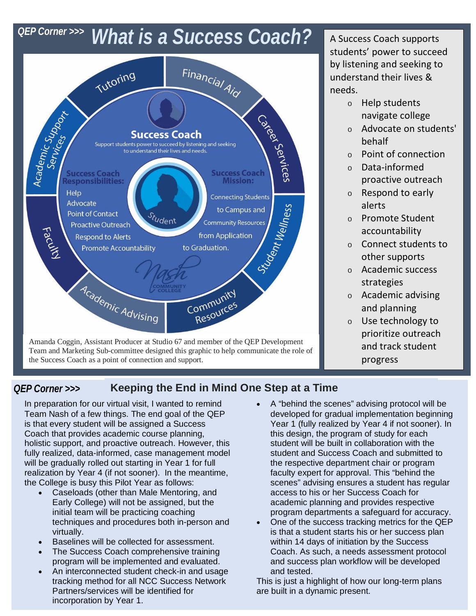## **QEP Corner >>> What is a Success Coach?** A Success Coach supports



students' power to succeed by listening and seeking to understand their lives & needs.

- o Help students navigate college
- o Advocate on students' behalf
- o Point of connection
- o Data-informed proactive outreach
- o Respond to early alerts
- o Promote Student accountability
- o Connect students to other supports
- o Academic success strategies
- o Academic advising and planning
- o Use technology to prioritize outreach and track student progress

#### *QEP Corner >>>* **Keeping the End in Mind One Step at a Time**

In preparation for our virtual visit, I wanted to remind Team Nash of a few things. The end goal of the QEP is that every student will be assigned a Success Coach that provides academic course planning, holistic support, and proactive outreach. However, this fully realized, data-informed, case management model will be gradually rolled out starting in Year 1 for full realization by Year 4 (if not sooner). In the meantime, the College is busy this Pilot Year as follows:

- Caseloads (other than Male Mentoring, and Early College) will not be assigned, but the initial team will be practicing coaching techniques and procedures both in-person and virtually.
- Baselines will be collected for assessment.
- The Success Coach comprehensive training program will be implemented and evaluated.
- An interconnected student check-in and usage tracking method for all NCC Success Network Partners/services will be identified for incorporation by Year 1.
- A "behind the scenes" advising protocol will be developed for gradual implementation beginning Year 1 (fully realized by Year 4 if not sooner). In this design, the program of study for each student will be built in collaboration with the student and Success Coach and submitted to the respective department chair or program faculty expert for approval. This "behind the scenes" advising ensures a student has regular access to his or her Success Coach for academic planning and provides respective program departments a safeguard for accuracy.
- One of the success tracking metrics for the QEP is that a student starts his or her success plan within 14 days of initiation by the Success Coach. As such, a needs assessment protocol and success plan workflow will be developed and tested.

This is just a highlight of how our long-term plans are built in a dynamic present.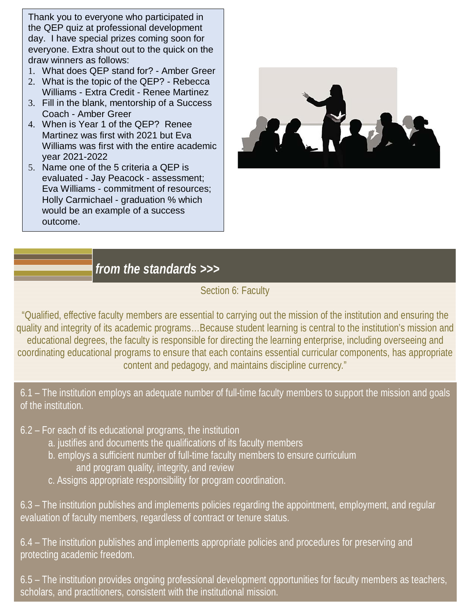Thank you to everyone who participated in the QEP quiz at professional development day. I have special prizes coming soon for everyone. Extra shout out to the quick on the draw winners as follows:

- 1. What does QEP stand for? Amber Greer
- 2. What is the topic of the QEP? Rebecca Williams - Extra Credit - Renee Martinez
- 3. Fill in the blank, mentorship of a Success Coach - Amber Greer
- 4. When is Year 1 of the QEP? Renee Martinez was first with 2021 but Eva Williams was first with the entire academic year 2021-2022
- 5. Name one of the 5 criteria a QEP is evaluated - Jay Peacock - assessment; Eva Williams - commitment of resources; Holly Carmichael - graduation % which would be an example of a success outcome.



## *from the standards >>>*

## Section 6: Faculty

"Qualified, effective faculty members are essential to carrying out the mission of the institution and ensuring the quality and integrity of its academic programs…Because student learning is central to the institution's mission and educational degrees, the faculty is responsible for directing the learning enterprise, including overseeing and coordinating educational programs to ensure that each contains essential curricular components, has appropriate content and pedagogy, and maintains discipline currency."

6.1 – The institution employs an adequate number of full-time faculty members to support the mission and goals of the institution.

- 6.2 For each of its educational programs, the institution
	- a. justifies and documents the qualifications of its faculty members
	- b. employs a sufficient number of full-time faculty members to ensure curriculum and program quality, integrity, and review
	- c. Assigns appropriate responsibility for program coordination.

6.3 – The institution publishes and implements policies regarding the appointment, employment, and regular evaluation of faculty members, regardless of contract or tenure status.

6.4 – The institution publishes and implements appropriate policies and procedures for preserving and protecting academic freedom.

6.5 – The institution provides ongoing professional development opportunities for faculty members as teachers, scholars, and practitioners, consistent with the institutional mission.